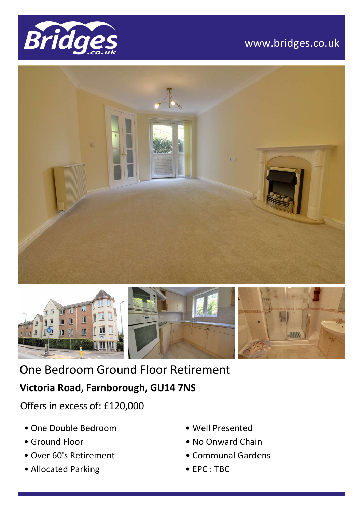

# www.bridges.co.uk





One Bedroom Ground Floor Retirement

## **Victoria Road, Farnborough, GU14 7NS**

Offers in excess of: £120,000

- One Double Bedroom
- Ground Floor
- Over 60's Retirement
- Allocated Parking
- Well Presented
- No Onward Chain
- Communal Gardens
- EPC : TBC